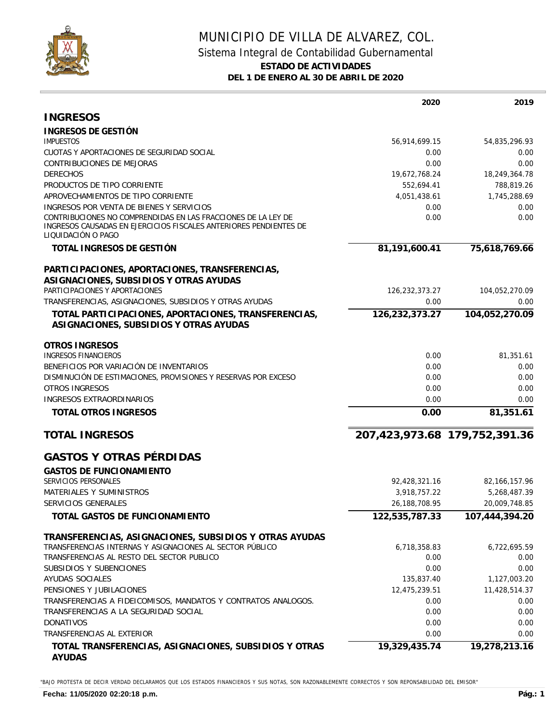

## MUNICIPIO DE VILLA DE ALVAREZ, COL. Sistema Integral de Contabilidad Gubernamental **ESTADO DE ACTIVIDADES DEL 1 DE ENERO AL 30 DE ABRIL DE 2020**

|                                                                                                                                                          | 2020           | 2019                          |
|----------------------------------------------------------------------------------------------------------------------------------------------------------|----------------|-------------------------------|
| <b>INGRESOS</b>                                                                                                                                          |                |                               |
| INGRESOS DE GESTIÓN                                                                                                                                      |                |                               |
| <b>IMPUESTOS</b>                                                                                                                                         | 56,914,699.15  | 54,835,296.93                 |
| CUOTAS Y APORTACIONES DE SEGURIDAD SOCIAL                                                                                                                | 0.00           | 0.00                          |
| <b>CONTRIBUCIONES DE MEJORAS</b>                                                                                                                         | 0.00           | 0.00                          |
| <b>DERECHOS</b>                                                                                                                                          | 19,672,768.24  | 18,249,364.78                 |
| PRODUCTOS DE TIPO CORRIENTE                                                                                                                              | 552,694.41     | 788,819.26                    |
| APROVECHAMIENTOS DE TIPO CORRIENTE                                                                                                                       | 4,051,438.61   | 1,745,288.69                  |
| INGRESOS POR VENTA DE BIENES Y SERVICIOS                                                                                                                 | 0.00           | 0.00                          |
| CONTRIBUCIONES NO COMPRENDIDAS EN LAS FRACCIONES DE LA LEY DE<br>INGRESOS CAUSADAS EN EJERCICIOS FISCALES ANTERIORES PENDIENTES DE<br>LIQUIDACIÓN O PAGO | 0.00           | 0.00                          |
| TOTAL INGRESOS DE GESTIÓN                                                                                                                                | 81,191,600.41  | 75,618,769.66                 |
| PARTICIPACIONES, APORTACIONES, TRANSFERENCIAS,                                                                                                           |                |                               |
| ASIGNACIONES, SUBSIDIOS Y OTRAS AYUDAS                                                                                                                   |                |                               |
| PARTICIPACIONES Y APORTACIONES                                                                                                                           | 126,232,373.27 | 104,052,270.09                |
| TRANSFERENCIAS, ASIGNACIONES, SUBSIDIOS Y OTRAS AYUDAS                                                                                                   | 0.00           | 0.00                          |
| TOTAL PARTICIPACIONES, APORTACIONES, TRANSFERENCIAS,                                                                                                     | 126,232,373.27 | 104,052,270.09                |
| ASIGNACIONES, SUBSIDIOS Y OTRAS AYUDAS                                                                                                                   |                |                               |
| OTROS INGRESOS                                                                                                                                           |                |                               |
| <b>INGRESOS FINANCIEROS</b>                                                                                                                              | 0.00           | 81,351.61                     |
| BENEFICIOS POR VARIACIÓN DE INVENTARIOS                                                                                                                  | 0.00           | 0.00                          |
| DISMINUCIÓN DE ESTIMACIONES, PROVISIONES Y RESERVAS POR EXCESO                                                                                           | 0.00           | 0.00                          |
| <b>OTROS INGRESOS</b>                                                                                                                                    | 0.00           | 0.00                          |
| INGRESOS EXTRAORDINARIOS                                                                                                                                 | 0.00           | 0.00                          |
| TOTAL OTROS INGRESOS                                                                                                                                     | 0.00           | 81,351.61                     |
| <b>TOTAL INGRESOS</b>                                                                                                                                    |                | 207,423,973.68 179,752,391.36 |
| <b>GASTOS Y OTRAS PÉRDIDAS</b>                                                                                                                           |                |                               |
| <b>GASTOS DE FUNCIONAMIENTO</b>                                                                                                                          |                |                               |
| SERVICIOS PERSONALES                                                                                                                                     | 92,428,321.16  | 82, 166, 157. 96              |
| MATERIALES Y SUMINISTROS                                                                                                                                 | 3,918,757.22   | 5,268,487.39                  |
| SERVICIOS GENERALES                                                                                                                                      | 26,188,708.95  | 20,009,748.85                 |
| TOTAL GASTOS DE FUNCIONAMIENTO                                                                                                                           | 122,535,787.33 | 107,444,394.20                |
| TRANSFERENCIAS, ASIGNACIONES, SUBSIDIOS Y OTRAS AYUDAS                                                                                                   |                |                               |
| TRANSFERENCIAS INTERNAS Y ASIGNACIONES AL SECTOR PÚBLICO                                                                                                 | 6,718,358.83   | 6,722,695.59                  |
| TRANSFERENCIAS AL RESTO DEL SECTOR PUBLICO                                                                                                               | 0.00           | 0.00                          |
| SUBSIDIOS Y SUBENCIONES                                                                                                                                  | 0.00           | 0.00                          |
| AYUDAS SOCIALES                                                                                                                                          | 135,837.40     | 1,127,003.20                  |
| PENSIONES Y JUBILACIONES                                                                                                                                 | 12,475,239.51  | 11,428,514.37                 |
| TRANSFERENCIAS A FIDEICOMISOS, MANDATOS Y CONTRATOS ANALOGOS.                                                                                            | 0.00           | 0.00                          |
| TRANSFERENCIAS A LA SEGURIDAD SOCIAL                                                                                                                     | 0.00           | 0.00                          |
| <b>DONATIVOS</b>                                                                                                                                         | 0.00           | 0.00                          |
| TRANSFERENCIAS AL EXTERIOR                                                                                                                               | 0.00           | 0.00                          |
| TOTAL TRANSFERENCIAS, ASIGNACIONES, SUBSIDIOS Y OTRAS<br>AYUDAS                                                                                          | 19,329,435.74  | 19,278,213.16                 |

"BAJO PROTESTA DE DECIR VERDAD DECLARAMOS QUE LOS ESTADOS FINANCIEROS Y SUS NOTAS, SON RAZONABLEMENTE CORRECTOS Y SON REPONSABILIDAD DEL EMISOR"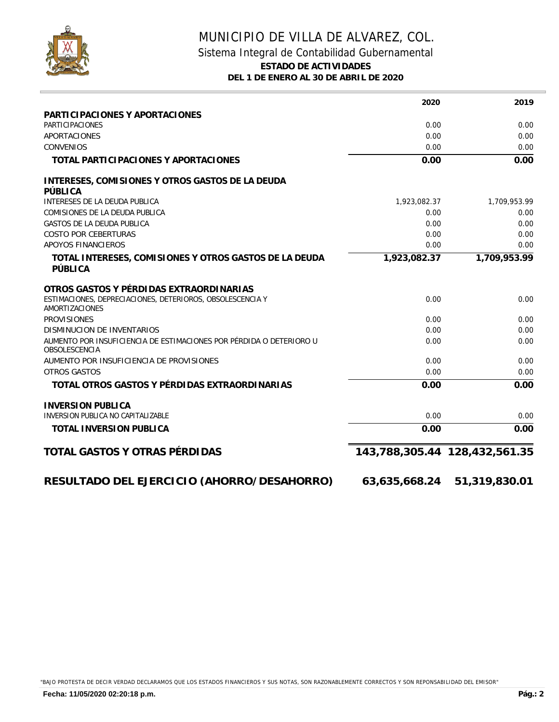

## MUNICIPIO DE VILLA DE ALVAREZ, COL. Sistema Integral de Contabilidad Gubernamental **ESTADO DE ACTIVIDADES DEL 1 DE ENERO AL 30 DE ABRIL DE 2020**

|                                                                                      | 2020                          | 2019          |
|--------------------------------------------------------------------------------------|-------------------------------|---------------|
| PARTICIPACIONES Y APORTACIONES                                                       |                               |               |
| <b>PARTICIPACIONES</b>                                                               | 0.00                          | 0.00          |
| APORTACIONES                                                                         | 0.00                          | 0.00          |
| <b>CONVENIOS</b>                                                                     | 0.00                          | 0.00          |
| TOTAL PARTICIPACIONES Y APORTACIONES                                                 | 0.00                          | 0.00          |
| INTERESES, COMISIONES Y OTROS GASTOS DE LA DEUDA<br>PÚBLICA                          |                               |               |
| INTERESES DE LA DEUDA PUBLICA                                                        | 1,923,082.37                  | 1,709,953.99  |
| COMISIONES DE LA DEUDA PUBLICA                                                       | 0.00                          | 0.00          |
| <b>GASTOS DE LA DEUDA PUBLICA</b>                                                    | 0.00                          | 0.00          |
| <b>COSTO POR CEBERTURAS</b>                                                          | 0.00                          | 0.00          |
| APOYOS FINANCIEROS                                                                   | 0.00                          | 0.00          |
| TOTAL INTERESES, COMISIONES Y OTROS GASTOS DE LA DEUDA<br>PÚBLICA                    | 1,923,082.37                  | 1,709,953.99  |
| OTROS GASTOS Y PÉRDIDAS EXTRAORDINARIAS                                              |                               |               |
| ESTIMACIONES, DEPRECIACIONES, DETERIOROS, OBSOLESCENCIA Y<br>AMORTIZACIONES          | 0.00                          | 0.00          |
| <b>PROVISIONES</b>                                                                   | 0.00                          | 0.00          |
| DISMINUCION DE INVENTARIOS                                                           | 0.00                          | 0.00          |
| AUMENTO POR INSUFICIENCIA DE ESTIMACIONES POR PÉRDIDA O DETERIORO U<br>OBSOLESCENCIA | 0.00                          | 0.00          |
| AUMENTO POR INSUFICIENCIA DE PROVISIONES                                             | 0.00                          | 0.00          |
| OTROS GASTOS                                                                         | 0.00                          | 0.00          |
| TOTAL OTROS GASTOS Y PÉRDIDAS EXTRAORDINARIAS                                        | 0.00                          | 0.00          |
| <b>INVERSION PUBLICA</b>                                                             |                               |               |
| INVERSION PUBLICA NO CAPITALIZABLE                                                   | 0.00                          | 0.00          |
| TOTAL INVERSION PUBLICA                                                              | 0.00                          | 0.00          |
| TOTAL GASTOS Y OTRAS PÉRDIDAS                                                        | 143,788,305.44 128,432,561.35 |               |
| RESULTADO DEL EJERCICIO (AHORRO/DESAHORRO)                                           | 63,635,668.24                 | 51,319,830.01 |